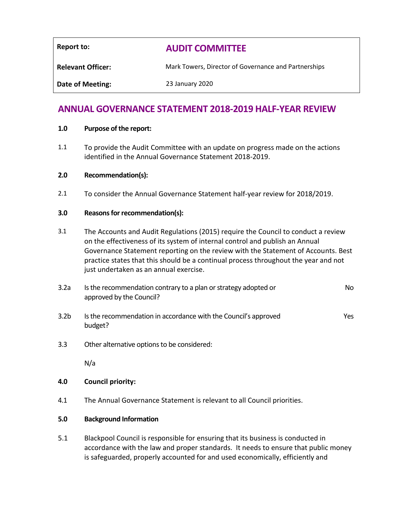| Report to:               | <b>AUDIT COMMITTEE</b>                               |
|--------------------------|------------------------------------------------------|
| <b>Relevant Officer:</b> | Mark Towers, Director of Governance and Partnerships |
| <b>Date of Meeting:</b>  | 23 January 2020                                      |
|                          |                                                      |

# **ANNUAL GOVERNANCE STATEMENT 2018-2019 HALF-YEAR REVIEW**

#### **1.0 Purpose of the report:**

1.1 To provide the Audit Committee with an update on progress made on the actions identified in the Annual Governance Statement 2018-2019.

#### **2.0 Recommendation(s):**

2.1 To consider the Annual Governance Statement half-year review for 2018/2019.

#### **3.0 Reasons for recommendation(s):**

- 3.1 The Accounts and Audit Regulations (2015) require the Council to conduct a review on the effectiveness of its system of internal control and publish an Annual Governance Statement reporting on the review with the Statement of Accounts. Best practice states that this should be a continual process throughout the year and not just undertaken as an annual exercise.
- 3.2a Is the recommendation contrary to a plan or strategy adopted or approved by the Council? No
- 3.2b Is the recommendation in accordance with the Council's approved budget? Yes
- 3.3 Other alternative options to be considered:

N/a

### **4.0 Council priority:**

4.1 The Annual Governance Statement is relevant to all Council priorities.

#### **5.0 Background Information**

5.1 Blackpool Council is responsible for ensuring that its business is conducted in accordance with the law and proper standards. It needs to ensure that public money is safeguarded, properly accounted for and used economically, efficiently and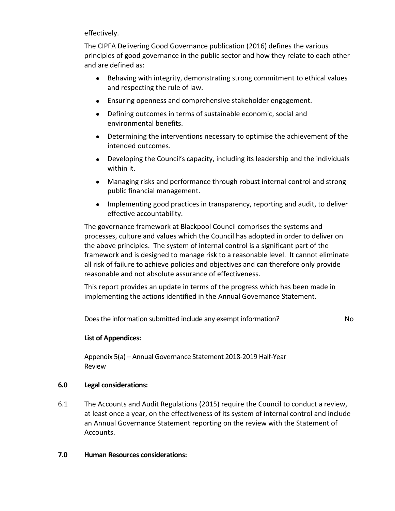effectively.

The CIPFA Delivering Good Governance publication (2016) defines the various principles of good governance in the public sector and how they relate to each other and are defined as:

- Behaving with integrity, demonstrating strong commitment to ethical values and respecting the rule of law.
- Ensuring openness and comprehensive stakeholder engagement.
- Defining outcomes in terms of sustainable economic, social and environmental benefits.
- Determining the interventions necessary to optimise the achievement of the intended outcomes.
- Developing the Council's capacity, including its leadership and the individuals within it.
- Managing risks and performance through robust internal control and strong public financial management.
- Implementing good practices in transparency, reporting and audit, to deliver effective accountability.

The governance framework at Blackpool Council comprises the systems and processes, culture and values which the Council has adopted in order to deliver on the above principles. The system of internal control is a significant part of the framework and is designed to manage risk to a reasonable level. It cannot eliminate all risk of failure to achieve policies and objectives and can therefore only provide reasonable and not absolute assurance of effectiveness.

This report provides an update in terms of the progress which has been made in implementing the actions identified in the Annual Governance Statement.

Does the information submitted include any exempt information? No

# **List of Appendices:**

Appendix 5(a) – Annual Governance Statement 2018-2019 Half-Year Review

# **6.0 Legal considerations:**

6.1 The Accounts and Audit Regulations (2015) require the Council to conduct a review, at least once a year, on the effectiveness of its system of internal control and include an Annual Governance Statement reporting on the review with the Statement of Accounts.

# **7.0 Human Resources considerations:**